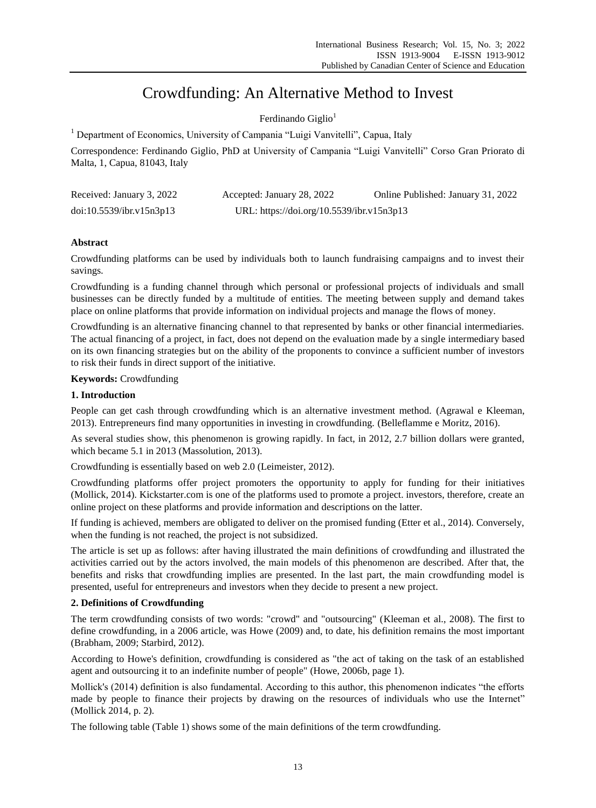# Crowdfunding: An Alternative Method to Invest

Ferdinando Giglio<sup>1</sup>

<sup>1</sup> Department of Economics, University of Campania "Luigi Vanvitelli", Capua, Italy

Correspondence: Ferdinando Giglio, PhD at University of Campania "Luigi Vanvitelli" Corso Gran Priorato di Malta, 1, Capua, 81043, Italy

| Received: January 3, 2022 | Accepted: January 28, 2022                | Online Published: January 31, 2022 |
|---------------------------|-------------------------------------------|------------------------------------|
| doi:10.5539/ibr.v15n3p13  | URL: https://doi.org/10.5539/ibr.v15n3p13 |                                    |

# **Abstract**

Crowdfunding platforms can be used by individuals both to launch fundraising campaigns and to invest their savings.

Crowdfunding is a funding channel through which personal or professional projects of individuals and small businesses can be directly funded by a multitude of entities. The meeting between supply and demand takes place on online platforms that provide information on individual projects and manage the flows of money.

Crowdfunding is an alternative financing channel to that represented by banks or other financial intermediaries. The actual financing of a project, in fact, does not depend on the evaluation made by a single intermediary based on its own financing strategies but on the ability of the proponents to convince a sufficient number of investors to risk their funds in direct support of the initiative.

# **Keywords:** Crowdfunding

# **1. Introduction**

People can get cash through crowdfunding which is an alternative investment method. (Agrawal e Kleeman, 2013). Entrepreneurs find many opportunities in investing in crowdfunding. (Belleflamme e Moritz, 2016).

As several studies show, this phenomenon is growing rapidly. In fact, in 2012, 2.7 billion dollars were granted, which became 5.1 in 2013 (Massolution, 2013).

Crowdfunding is essentially based on web 2.0 (Leimeister, 2012).

Crowdfunding platforms offer project promoters the opportunity to apply for funding for their initiatives (Mollick, 2014). Kickstarter.com is one of the platforms used to promote a project. investors, therefore, create an online project on these platforms and provide information and descriptions on the latter.

If funding is achieved, members are obligated to deliver on the promised funding (Etter et al., 2014). Conversely, when the funding is not reached, the project is not subsidized.

The article is set up as follows: after having illustrated the main definitions of crowdfunding and illustrated the activities carried out by the actors involved, the main models of this phenomenon are described. After that, the benefits and risks that crowdfunding implies are presented. In the last part, the main crowdfunding model is presented, useful for entrepreneurs and investors when they decide to present a new project.

# **2. Definitions of Crowdfunding**

The term crowdfunding consists of two words: "crowd" and "outsourcing" (Kleeman et al., 2008). The first to define crowdfunding, in a 2006 article, was Howe (2009) and, to date, his definition remains the most important (Brabham, 2009; Starbird, 2012).

According to Howe's definition, crowdfunding is considered as "the act of taking on the task of an established agent and outsourcing it to an indefinite number of people" (Howe, 2006b, page 1).

Mollick's (2014) definition is also fundamental. According to this author, this phenomenon indicates "the efforts made by people to finance their projects by drawing on the resources of individuals who use the Internet" (Mollick 2014, p. 2).

The following table (Table 1) shows some of the main definitions of the term crowdfunding.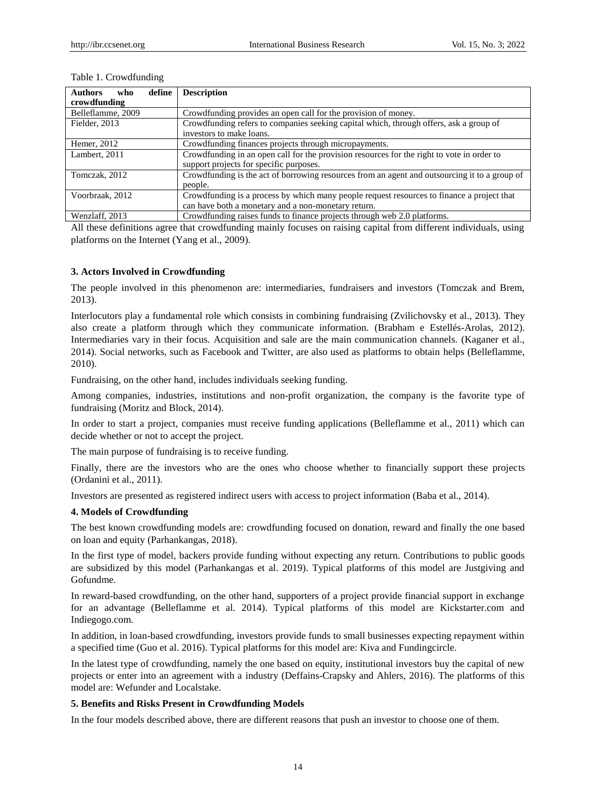| define<br><b>Authors</b><br>who | <b>Description</b>                                                                            |
|---------------------------------|-----------------------------------------------------------------------------------------------|
| crowdfunding                    |                                                                                               |
| Belleflamme, 2009               | Crowdfunding provides an open call for the provision of money.                                |
| Fielder, 2013                   | Crowdfunding refers to companies seeking capital which, through offers, ask a group of        |
|                                 | investors to make loans.                                                                      |
| Hemer, 2012                     | Crowdfunding finances projects through micropayments.                                         |
| Lambert, 2011                   | Crowdfunding in an open call for the provision resources for the right to vote in order to    |
|                                 | support projects for specific purposes.                                                       |
| Tomczak, 2012                   | Crowdfunding is the act of borrowing resources from an agent and outsourcing it to a group of |
|                                 | people.                                                                                       |
| Voorbraak, 2012                 | Crowdfunding is a process by which many people request resources to finance a project that    |
|                                 | can have both a monetary and a non-monetary return.                                           |
| Wenzlaff, 2013                  | Crowdfunding raises funds to finance projects through web 2.0 platforms.                      |

#### Table 1. Crowdfunding

All these definitions agree that crowdfunding mainly focuses on raising capital from different individuals, using platforms on the Internet (Yang et al., 2009).

# **3. Actors Involved in Crowdfunding**

The people involved in this phenomenon are: intermediaries, fundraisers and investors (Tomczak and Brem, 2013).

Interlocutors play a fundamental role which consists in combining fundraising (Zvilichovsky et al., 2013). They also create a platform through which they communicate information. (Brabham e Estellés-Arolas, 2012). Intermediaries vary in their focus. Acquisition and sale are the main communication channels. (Kaganer et al., 2014). Social networks, such as Facebook and Twitter, are also used as platforms to obtain helps (Belleflamme, 2010).

Fundraising, on the other hand, includes individuals seeking funding.

Among companies, industries, institutions and non-profit organization, the company is the favorite type of fundraising (Moritz and Block, 2014).

In order to start a project, companies must receive funding applications (Belleflamme et al., 2011) which can decide whether or not to accept the project.

The main purpose of fundraising is to receive funding.

Finally, there are the investors who are the ones who choose whether to financially support these projects (Ordanini et al., 2011).

Investors are presented as registered indirect users with access to project information (Baba et al., 2014).

## **4. Models of Crowdfunding**

The best known crowdfunding models are: crowdfunding focused on donation, reward and finally the one based on loan and equity (Parhankangas, 2018).

In the first type of model, backers provide funding without expecting any return. Contributions to public goods are subsidized by this model (Parhankangas et al. 2019). Typical platforms of this model are Justgiving and Gofundme.

In reward-based crowdfunding, on the other hand, supporters of a project provide financial support in exchange for an advantage (Belleflamme et al. 2014). Typical platforms of this model are Kickstarter.com and Indiegogo.com.

In addition, in loan-based crowdfunding, investors provide funds to small businesses expecting repayment within a specified time (Guo et al. 2016). Typical platforms for this model are: Kiva and Fundingcircle.

In the latest type of crowdfunding, namely the one based on equity, institutional investors buy the capital of new projects or enter into an agreement with a industry (Deffains-Crapsky and Ahlers, 2016). The platforms of this model are: Wefunder and Localstake.

### **5. Benefits and Risks Present in Crowdfunding Models**

In the four models described above, there are different reasons that push an investor to choose one of them.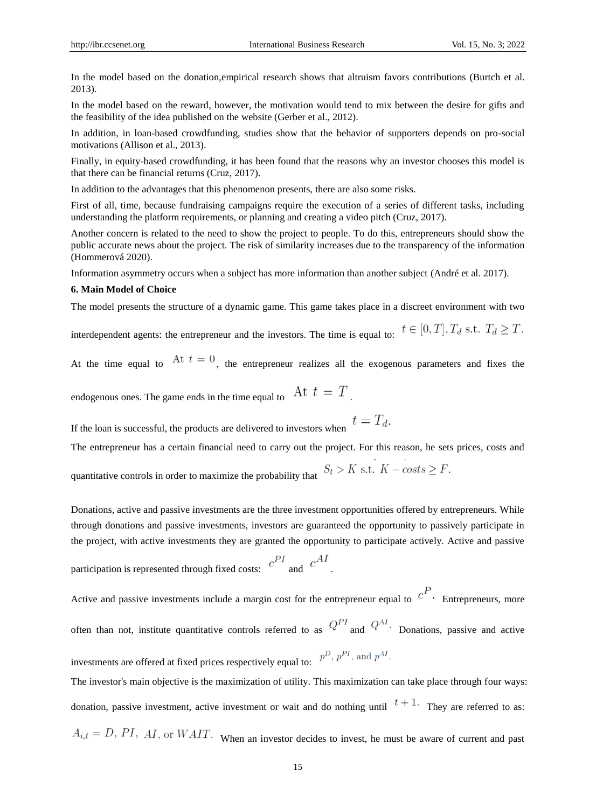In the model based on the donation,empirical research shows that altruism favors contributions (Burtch et al. 2013).

In the model based on the reward, however, the motivation would tend to mix between the desire for gifts and the feasibility of the idea published on the website (Gerber et al., 2012).

In addition, in loan-based crowdfunding, studies show that the behavior of supporters depends on pro-social motivations (Allison et al., 2013).

Finally, in equity-based crowdfunding, it has been found that the reasons why an investor chooses this model is that there can be financial returns (Cruz, 2017).

In addition to the advantages that this phenomenon presents, there are also some risks.

First of all, time, because fundraising campaigns require the execution of a series of different tasks, including understanding the platform requirements, or planning and creating a video pitch (Cruz, 2017).

Another concern is related to the need to show the project to people. To do this, entrepreneurs should show the public accurate news about the project. The risk of similarity increases due to the transparency of the information (Hommerová 2020).

Information asymmetry occurs when a subject has more information than another subject (André et al. 2017).

## **6. Main Model of Choice**

The model presents the structure of a dynamic game. This game takes place in a discreet environment with two

interdependent agents: the entrepreneur and the investors. The time is equal to:  $t \in [0, T], T_d \text{ s.t. } T_d \geq T$ .

At the time equal to  $At t = 0$ , the entrepreneur realizes all the exogenous parameters and fixes the

endogenous ones. The game ends in the time equal to  $\;\;$  At  $\;t\;=\;T$ 

If the loan is successful, the products are delivered to investors when  $t = T_d$ .

The entrepreneur has a certain financial need to carry out the project. For this reason, he sets prices, costs and

quantitative controls in order to maximize the probability that  $S_t > K$  s.t.  $K - \text{costs} \geq F$ .

Donations, active and passive investments are the three investment opportunities offered by entrepreneurs. While through donations and passive investments, investors are guaranteed the opportunity to passively participate in the project, with active investments they are granted the opportunity to participate actively. Active and passive

participation is represented through fixed costs: 
$$
c^{PI}
$$
 and  $c^{AI}$ .

Active and passive investments include a margin cost for the entrepreneur equal to  $c^P$ . Entrepreneurs, more often than not, institute quantitative controls referred to as  $Q^{PI}$  and  $Q^{AI}$ . Donations, passive and active investments are offered at fixed prices respectively equal to:  $p^D$ ,  $p^{PI}$ , and  $p^{AI}$ .

The investor's main objective is the maximization of utility. This maximization can take place through four ways: donation, passive investment, active investment or wait and do nothing until  $t + 1$ . They are referred to as:  $A_{i,t} = D$ , PI, AI, or WAIT. When an investor decides to invest, he must be aware of current and past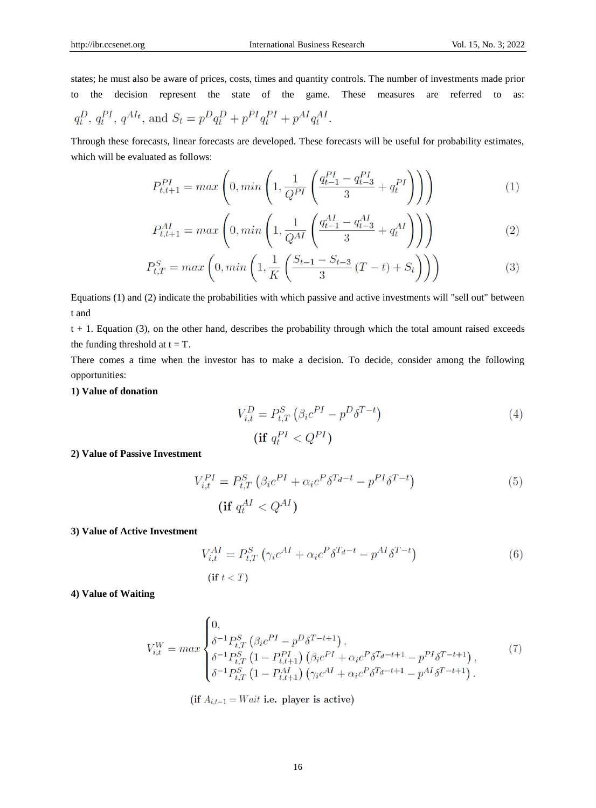states; he must also be aware of prices, costs, times and quantity controls. The number of investments made prior to the decision represent the state of the game. These measures are referred to as:  $q_t^D, q_t^{PI}, q^{AI_t}, \text{ and } S_t = p^D q_t^D + p^{PI} q_t^{PI} + p^{AI} q_t^{AI}.$ 

Through these forecasts, linear forecasts are developed. These forecasts will be useful for probability estimates, which will be evaluated as follows:

$$
P_{t,t+1}^{PI} = max\left(0, min\left(1, \frac{1}{Q^{PI}}\left(\frac{q_{t-1}^{PI} - q_{t-3}^{PI}}{3} + q_t^{PI}\right)\right)\right) \tag{1}
$$

$$
P_{t,t+1}^{AI} = max\left(0, min\left(1, \frac{1}{Q^{AI}}\left(\frac{q_{t-1}^{AI} - q_{t-3}^{AI}}{3} + q_t^{AI}\right)\right)\right) \tag{2}
$$

$$
P_{t,T}^{S} = max\left(0, min\left(1, \frac{1}{K}\left(\frac{S_{t-1} - S_{t-3}}{3}(T-t) + S_{t}\right)\right)\right) \tag{3}
$$

Equations (1) and (2) indicate the probabilities with which passive and active investments will "sell out" between t and

 $t + 1$ . Equation (3), on the other hand, describes the probability through which the total amount raised exceeds the funding threshold at  $t = T$ .

There comes a time when the investor has to make a decision. To decide, consider among the following opportunities:

# **1) Value of donation**

$$
V_{i,t}^D = P_{t,T}^S \left( \beta_i c^{PI} - p^D \delta^{T-t} \right)
$$
  
(**if**  $q_t^{PI} < Q^{PI}$ ) (4)

# **2) Value of Passive Investment**

$$
V_{i,t}^{PI} = P_{t,T}^{S} \left( \beta_i c^{PI} + \alpha_i c^P \delta^{T_d - t} - p^{PI} \delta^{T-t} \right)
$$
\n
$$
(i \mathbf{f} \ q_t^{AI} < Q^{AI})
$$
\n(5)

#### **3) Value of Active Investment**

$$
V_{i,t}^{AI} = P_{t,T}^{S} \left( \gamma_i c^{AI} + \alpha_i c^P \delta^{T_d - t} - p^{AI} \delta^{T-t} \right)
$$
  
(if  $t < T$ ) (6)

**4) Value of Waiting**

$$
V_{i,t}^{W} = max \begin{cases} 0, & (7) \\ \delta^{-1} P_{t,T}^{S} \left( \beta_{i} c^{PI} - p^{D} \delta^{T-t+1} \right), & (8) \\ \delta^{-1} P_{t,T}^{S} \left( 1 - P_{t,t+1}^{PI} \right) \left( \beta_{i} c^{PI} + \alpha_{i} c^{P} \delta^{T_{d}-t+1} - p^{PI} \delta^{T-t+1} \right), & (9) \\ \delta^{-1} P_{t,T}^{S} \left( 1 - P_{t,t+1}^{AI} \right) \left( \gamma_{i} c^{AI} + \alpha_{i} c^{P} \delta^{T_{d}-t+1} - p^{AI} \delta^{T-t+1} \right). & (10) \end{cases}
$$

(if  $A_{i,t-1} = Wait$  i.e. player is active)